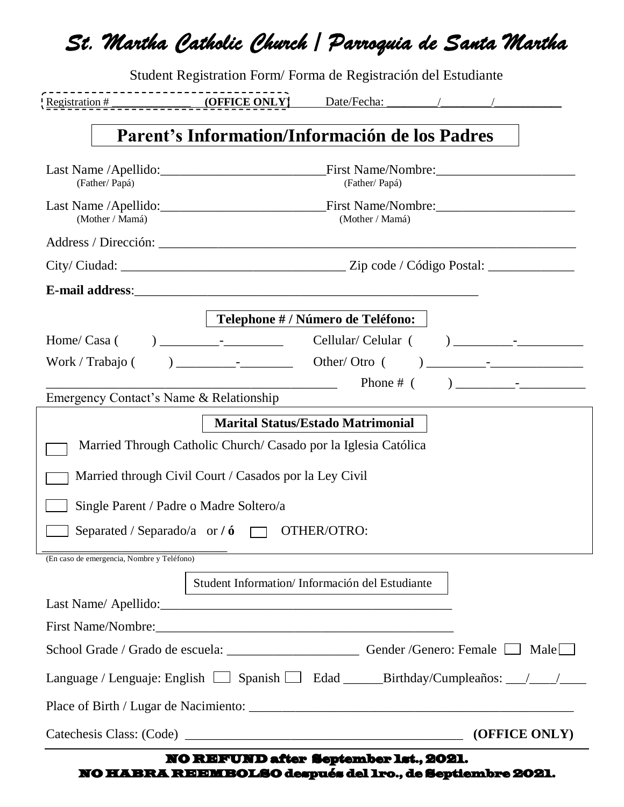|                                            |                                                                 | Student Registration Form/Forma de Registración del Estudiante                                                                                                                                                                                                                                                                                                      |
|--------------------------------------------|-----------------------------------------------------------------|---------------------------------------------------------------------------------------------------------------------------------------------------------------------------------------------------------------------------------------------------------------------------------------------------------------------------------------------------------------------|
| Registration # (OFFICE ONLY)               |                                                                 | Date/Fecha: / / /                                                                                                                                                                                                                                                                                                                                                   |
|                                            |                                                                 | Parent's Information/Información de los Padres                                                                                                                                                                                                                                                                                                                      |
| (Father/Papá)                              |                                                                 | (Father/Papá)                                                                                                                                                                                                                                                                                                                                                       |
| (Mother / Mamá)                            |                                                                 | (Mother / Mamá)                                                                                                                                                                                                                                                                                                                                                     |
|                                            |                                                                 |                                                                                                                                                                                                                                                                                                                                                                     |
|                                            |                                                                 |                                                                                                                                                                                                                                                                                                                                                                     |
| E-mail address: E-mail address:            |                                                                 |                                                                                                                                                                                                                                                                                                                                                                     |
|                                            |                                                                 | Telephone # / Número de Teléfono:                                                                                                                                                                                                                                                                                                                                   |
|                                            |                                                                 |                                                                                                                                                                                                                                                                                                                                                                     |
| Work / Trabajo (                           | $\frac{1}{2}$ Other/Otro (                                      | $\begin{picture}(20,10) \put(0,0){\vector(1,0){100}} \put(15,0){\vector(1,0){100}} \put(15,0){\vector(1,0){100}} \put(15,0){\vector(1,0){100}} \put(15,0){\vector(1,0){100}} \put(15,0){\vector(1,0){100}} \put(15,0){\vector(1,0){100}} \put(15,0){\vector(1,0){100}} \put(15,0){\vector(1,0){100}} \put(15,0){\vector(1,0){100}} \put(15,0){\vector(1,0){100}} \$ |
| Emergency Contact's Name & Relationship    |                                                                 | Phone $#$ (                                                                                                                                                                                                                                                                                                                                                         |
|                                            |                                                                 | <b>Marital Status/Estado Matrimonial</b>                                                                                                                                                                                                                                                                                                                            |
|                                            | Married Through Catholic Church/ Casado por la Iglesia Católica |                                                                                                                                                                                                                                                                                                                                                                     |
|                                            |                                                                 |                                                                                                                                                                                                                                                                                                                                                                     |
|                                            | Married through Civil Court / Casados por la Ley Civil          |                                                                                                                                                                                                                                                                                                                                                                     |
|                                            | Single Parent / Padre o Madre Soltero/a                         |                                                                                                                                                                                                                                                                                                                                                                     |
|                                            | Separated / Separado/a or $\ell$ or $\Box$ OTHER/OTRO:          |                                                                                                                                                                                                                                                                                                                                                                     |
| (En caso de emergencia, Nombre y Teléfono) |                                                                 |                                                                                                                                                                                                                                                                                                                                                                     |
|                                            |                                                                 | Student Information/Información del Estudiante                                                                                                                                                                                                                                                                                                                      |
|                                            |                                                                 |                                                                                                                                                                                                                                                                                                                                                                     |
|                                            |                                                                 |                                                                                                                                                                                                                                                                                                                                                                     |
|                                            |                                                                 | School Grade / Grado de escuela: __________________________Gender /Genero: Female __ Male                                                                                                                                                                                                                                                                           |
|                                            |                                                                 |                                                                                                                                                                                                                                                                                                                                                                     |
|                                            |                                                                 |                                                                                                                                                                                                                                                                                                                                                                     |
|                                            |                                                                 |                                                                                                                                                                                                                                                                                                                                                                     |

NO REFUND after September 1st., 2021. NO HABRA REEMBOLSO después del 1ro., de Septiembre 2021.